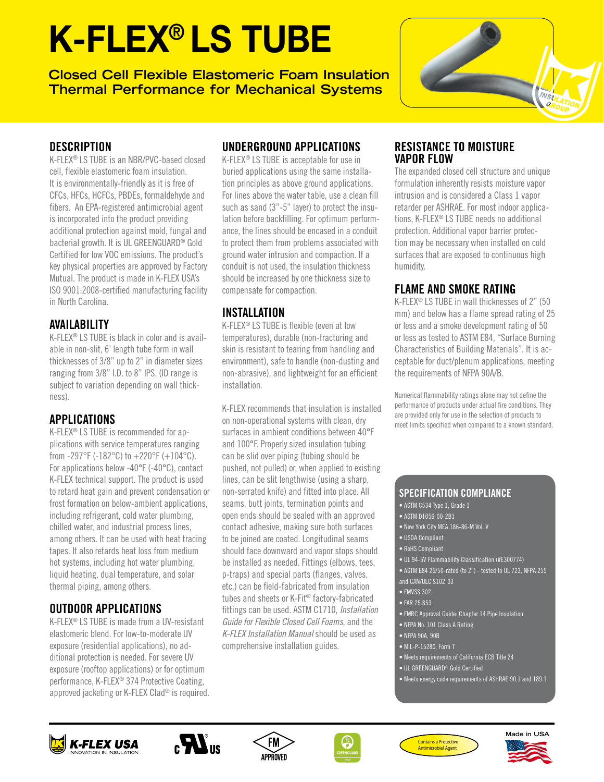# K-FLEX® LS TUBE

**Closed Cell Flexible Elastomeric Foam Insulation Thermal Performance for Mechanical Systems**



#### **DESCRIPTION**

K-FLEX® LS TUBE is an NBR/PVC-based closed cell, flexible elastomeric foam insulation. It is environmentally-friendly as it is free of CFCs, HFCs, HCFCs, PBDEs, formaldehyde and fibers. An EPA-registered antimicrobial agent is incorporated into the product providing additional protection against mold, fungal and bacterial growth. It is UL GREENGUARD® Gold Certified for low VOC emissions. The product's key physical properties are approved by Factory Mutual. The product is made in K-FLEX USA's ISO 9001:2008-certified manufacturing facility in North Carolina.

### AVAILABILITY

K-FLEX® LS TUBE is black in color and is available in non-slit, 6' length tube form in wall thicknesses of 3/8" up to 2" in diameter sizes ranging from 3/8" I.D. to 8" IPS. (ID range is subject to variation depending on wall thickness).

### APPLICATIONS

K-FLEX® LS TUBE is recommended for applications with service temperatures ranging from -297°F (-182°C) to  $+220$ °F (+104°C). For applications below -40°F (-40°C), contact K-FLEX technical support. The product is used to retard heat gain and prevent condensation or frost formation on below-ambient applications, including refrigerant, cold water plumbing, chilled water, and industrial process lines, among others. It can be used with heat tracing tapes. It also retards heat loss from medium hot systems, including hot water plumbing, liquid heating, dual temperature, and solar thermal piping, among others.

### OUTDOOR APPLICATIONS

K-FLEX® LS TUBE is made from a UV-resistant elastomeric blend. For low-to-moderate UV exposure (residential applications), no additional protection is needed. For severe UV exposure (rooftop applications) or for optimum performance, K-FLEX® 374 Protective Coating, approved jacketing or K-FLEX Clad® is required.

## UNDERGROUND APPLICATIONS

K-FLEX® LS TUBE is acceptable for use in buried applications using the same installation principles as above ground applications. For lines above the water table, use a clean fill such as sand (3"-5" layer) to protect the insulation before backfilling. For optimum performance, the lines should be encased in a conduit to protect them from problems associated with ground water intrusion and compaction. If a conduit is not used, the insulation thickness should be increased by one thickness size to compensate for compaction.

### INSTALLATION

K-FLEX® LS TUBE is flexible (even at low temperatures), durable (non-fracturing and skin is resistant to tearing from handling and environment), safe to handle (non-dusting and non-abrasive), and lightweight for an efficient installation.

K-FLEX recommends that insulation is installed on non-operational systems with clean, dry surfaces in ambient conditions between 40°F and 100°F. Properly sized insulation tubing can be slid over piping (tubing should be pushed, not pulled) or, when applied to existing lines, can be slit lengthwise (using a sharp, non-serrated knife) and fitted into place. All seams, butt joints, termination points and open ends should be sealed with an approved contact adhesive, making sure both surfaces to be joined are coated. Longitudinal seams should face downward and vapor stops should be installed as needed. Fittings (elbows, tees, p-traps) and special parts (flanges, valves, etc.) can be field-fabricated from insulation tubes and sheets or K-Fit® factory-fabricated fittings can be used. ASTM C1710, *Installation Guide for Flexible Closed Cell Foams*, and the *K-FLEX Installation Manual* should be used as comprehensive installation guides.

#### RESISTANCE TO MOISTURE VAPOR FLOW

The expanded closed cell structure and unique formulation inherently resists moisture vapor intrusion and is considered a Class 1 vapor retarder per ASHRAE. For most indoor applications, K-FLEX® LS TUBE needs no additional protection. Additional vapor barrier protection may be necessary when installed on cold surfaces that are exposed to continuous high humidity.

## FLAME AND SMOKE RATING

K-FLEX® LS TUBE in wall thicknesses of 2" (50 mm) and below has a flame spread rating of 25 or less and a smoke development rating of 50 or less as tested to ASTM E84, "Surface Burning Characteristics of Building Materials". It is acceptable for duct/plenum applications, meeting the requirements of NFPA 90A/B.

Numerical flammability ratings alone may not define the performance of products under actual fire conditions. They are provided only for use in the selection of products to meet limits specified when compared to a known standard.

#### SPECIFICATION COMPLIANCE

- ASTM C534 Type 1, Grade 1
- ASTM D1056-00-2B1
- New York City MEA 186-86-M Vol. V
- USDA Compliant
- RoHS Compliant
- UL 94-5V Flammability Classification (#E300774)
- ASTM E84 25/50-rated (to 2") tested to UL 723, NFPA 255
- and CAN/ULC S102-03
- FMVSS 302
- FAR 25.853
- FMRC Approval Guide: Chapter 14 Pipe Insulation
- NFPA No. 101 Class A Rating
- NFPA 90A, 90B
- MIL-P-15280, Form T
- Meets requirements of California ECB Title 24
- UL GREENGUARD® Gold Certified
- Meets energy code requirements of ASHRAE 90.1 and 189.1